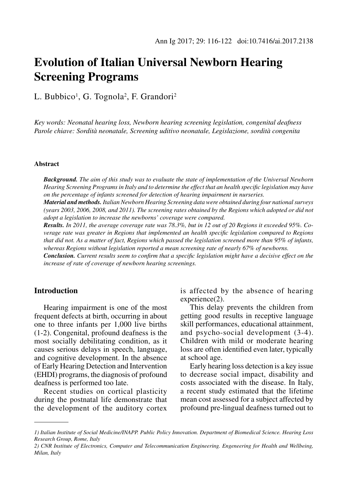# **Evolution of Italian Universal Newborn Hearing Screening Programs**

L. Bubbico<sup>1</sup>, G. Tognola<sup>2</sup>, F. Grandori<sup>2</sup>

*Key words: Neonatal hearing loss, Newborn hearing screening legislation, congenital deafness Parole chiave: Sordità neonatale, Screening uditivo neonatale, Legislazione, sordità congenita* 

## **Abstract**

*Background. The aim of this study was to evaluate the state of implementation of the Universal Newborn Hearing Screening Programs in Italy and to determine the effect that an health specific legislation may have on the percentage of infants screened for detection of hearing impairment in nurseries.*

*Material and methods. Italian Newborn Hearing Screening data were obtained during four national surveys (years 2003, 2006, 2008, and 2011). The screening rates obtained by the Regions which adopted or did not adopt a legislation to increase the newborns' coverage were compared.*

*Results. In 2011, the average coverage rate was 78.3%, but in 12 out of 20 Regions it exceeded 95%. Coverage rate was greater in Regions that implemented an health specific legislation compared to Regions that did not. As a matter of fact, Regions which passed the legislation screened more than 95% of infants, whereas Regions without legislation reported a mean screening rate of nearly 67% of newborns.* 

*Conclusion. Current results seem to confirm that a specific legislation might have a decisive effect on the increase of rate of coverage of newborn hearing screenings.*

## **Introduction**

Hearing impairment is one of the most frequent defects at birth, occurring in about one to three infants per 1,000 live births (1-2). Congenital, profound deafness is the most socially debilitating condition, as it causes serious delays in speech, language, and cognitive development. In the absence of Early Hearing Detection and Intervention (EHDI) programs, the diagnosis of profound deafness is performed too late.

Recent studies on cortical plasticity during the postnatal life demonstrate that the development of the auditory cortex is affected by the absence of hearing experience(2).

This delay prevents the children from getting good results in receptive language skill performances, educational attainment, and psycho-social development (3-4). Children with mild or moderate hearing loss are often identified even later, typically at school age.

Early hearing loss detection is a key issue to decrease social impact, disability and costs associated with the disease. In Italy, a recent study estimated that the lifetime mean cost assessed for a subject affected by profound pre-lingual deafness turned out to

*<sup>1)</sup> Italian Institute of Social Medicine/INAPP. Public Policy Innovation. Department of Biomedical Science. Hearing Loss Research Group, Rome, Italy*

*<sup>2)</sup> CNR Institute of Electronics, Computer and Telecommunication Engineering. Engeneering for Health and Wellbeing, Milan, Italy*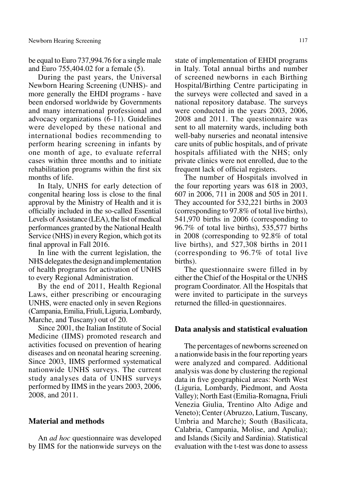be equal to Euro 737,994.76 for a single male and Euro 755,404.02 for a female (5).

During the past years, the Universal Newborn Hearing Screening (UNHS)- and more generally the EHDI programs - have been endorsed worldwide by Governments and many international professional and advocacy organizations (6-11). Guidelines were developed by these national and international bodies recommending to perform hearing screening in infants by one month of age, to evaluate referral cases within three months and to initiate rehabilitation programs within the first six months of life.

In Italy, UNHS for early detection of congenital hearing loss is close to the final approval by the Ministry of Health and it is officially included in the so-called Essential Levels of Assistance (LEA), the list of medical performances granted by the National Health Service (NHS) in every Region, which got its final approval in Fall 2016.

In line with the current legislation, the NHS delegates the design and implementation of health programs for activation of UNHS to every Regional Administration.

By the end of 2011, Health Regional Laws, either prescribing or encouraging UNHS, were enacted only in seven Regions (Campania, Emilia, Friuli, Liguria, Lombardy, Marche, and Tuscany) out of 20.

Since 2001, the Italian Institute of Social Medicine (IIMS) promoted research and activities focused on prevention of hearing diseases and on neonatal hearing screening. Since 2003, IIMS performed systematical nationwide UNHS surveys. The current study analyses data of UNHS surveys performed by IIMS in the years 2003, 2006, 2008, and 2011.

# **Material and methods**

An *ad hoc* questionnaire was developed by IIMS for the nationwide surveys on the

state of implementation of EHDI programs in Italy. Total annual births and number of screened newborns in each Birthing Hospital/Birthing Centre participating in the surveys were collected and saved in a national repository database. The surveys were conducted in the years 2003, 2006, 2008 and 2011. The questionnaire was sent to all maternity wards, including both well-baby nurseries and neonatal intensive care units of public hospitals, and of private hospitals affiliated with the NHS; only private clinics were not enrolled, due to the frequent lack of official registers.

The number of Hospitals involved in the four reporting years was 618 in 2003, 607 in 2006, 711 in 2008 and 505 in 2011. They accounted for 532,221 births in 2003 (corresponding to 97.8% of total live births), 541,970 births in 2006 (corresponding to 96.7% of total live births), 535,577 births in 2008 (corresponding to 92.8% of total live births), and 527,308 births in 2011 (corresponding to 96.7% of total live births).

The questionnaire swere filled in by either the Chief of the Hospital or the UNHS program Coordinator. All the Hospitals that were invited to participate in the surveys returned the filled-in questionnaires.

## **Data analysis and statistical evaluation**

The percentages of newborns screened on a nationwide basis in the four reporting years were analyzed and compared. Additional analysis was done by clustering the regional data in five geographical areas: North West (Liguria, Lombardy, Piedmont, and Aosta Valley); North East (Emilia-Romagna, Friuli Venezia Giulia, Trentino Alto Adige and Veneto); Center (Abruzzo, Latium, Tuscany, Umbria and Marche); South (Basilicata, Calabria, Campania, Molise, and Apulia); and Islands (Sicily and Sardinia). Statistical evaluation with the t-test was done to assess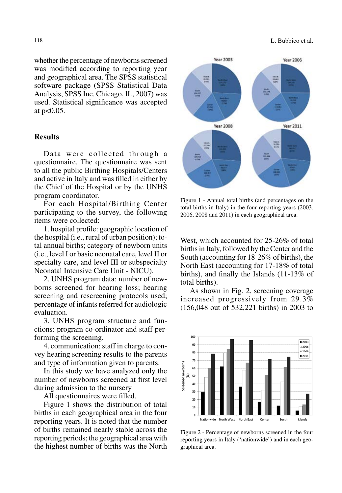118 L. Bubbico et al.

whether the percentage of newborns screened was modified according to reporting year and geographical area. The SPSS statistical software package (SPSS Statistical Data Analysis, SPSS Inc. Chicago, IL, 2007) was used. Statistical significance was accepted at p<0.05.

## **Results**

Data were collected through a questionnaire. The questionnaire was sent to all the public Birthing Hospitals/Centers and active in Italy and was filled in either by the Chief of the Hospital or by the UNHS program coordinator.

For each Hospital/Birthing Center participating to the survey, the following items were collected:

1. hospital profile: geographic location of the hospital (i.e., rural of urban position); total annual births; category of newborn units (i.e., level I or basic neonatal care, level II or specialty care, and level III or subspecialty Neonatal Intensive Care Unit - NICU).

2. UNHS program data: number of newborns screened for hearing loss; hearing screening and rescreening protocols used; percentage of infants referred for audiologic evaluation.

3. UNHS program structure and functions: program co-ordinator and staff performing the screening.

4. communication: staff in charge to convey hearing screening results to the parents and type of information given to parents.

In this study we have analyzed only the number of newborns screened at first level during admission to the nursery

All questionnaires were filled.

Figure 1 shows the distribution of total births in each geographical area in the four reporting years. It is noted that the number of births remained nearly stable across the reporting periods; the geographical area with the highest number of births was the North



Figure 1 - Annual total births (and percentages on the total births in Italy) in the four reporting years (2003, 2006, 2008 and 2011) in each geographical area.

West, which accounted for 25-26% of total births in Italy, followed by the Center and the South (accounting for 18-26% of births), the North East (accounting for 17-18% of total births), and finally the Islands (11-13% of total births).

As shown in Fig. 2, screening coverage increased progressively from 29.3% (156,048 out of 532,221 births) in 2003 to



Figure 2 - Percentage of newborns screened in the four reporting years in Italy ('nationwide') and in each geographical area.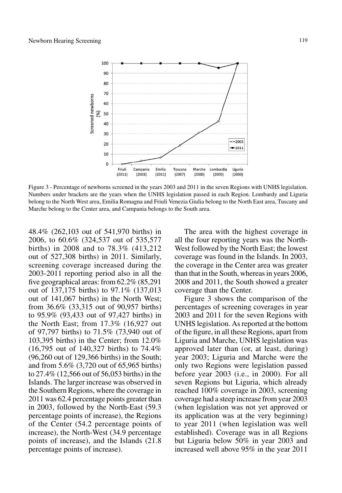

Figure 3 - Percentage of newborns screened in the years 2003 and 2011 in the seven Regions with UNHS legislation. Numbers under brackets are the years when the UNHS legislation passed in each Region. Lombardy and Liguria belong to the North West area, Emilia Romagna and Friuli Venezia Giulia belong to the North East area, Tuscany and Marche belong to the Center area, and Campania belongs to the South area.

48.4% (262,103 out of 541,970 births) in 2006, to 60.6% (324,537 out of 535,577 births) in 2008 and to 78.3% (413,212 out of 527,308 births) in 2011. Similarly, screening coverage increased during the 2003-2011 reporting period also in all the five geographical areas: from 62.2% (85,291 out of 137,175 births) to 97.1% (137,013 out of 141,067 births) in the North West; from 36.6% (33,315 out of 90,957 births) to 95.9% (93,433 out of 97,427 births) in the North East; from 17.3% (16,927 out of 97,797 births) to 71.5% (73,940 out of 103,395 births) in the Center; from 12.0% (16,795 out of 140,327 births) to 74.4% (96,260 out of 129,366 births) in the South; and from 5.6% (3,720 out of 65,965 births) to 27.4% (12,566 out of 56,053 births) in the Islands. The larger increase was observed in the Southern Regions, where the coverage in 2011 was 62.4 percentage points greater than in 2003, followed by the North-East (59.3 percentage points of increase), the Regions of the Center (54.2 percentage points of increase), the North-West (34.9 percentage points of increase), and the Islands (21.8 percentage points of increase).

The area with the highest coverage in all the four reporting years was the North-West followed by the North East; the lowest coverage was found in the Islands. In 2003, the coverage in the Center area was greater than that in the South, whereas in years 2006, 2008 and 2011, the South showed a greater coverage than the Center.

Figure 3 shows the comparison of the percentages of screening coverages in year 2003 and 2011 for the seven Regions with UNHS legislation. As reported at the bottom of the figure, in all these Regions, apart from Liguria and Marche, UNHS legislation was approved later than (or, at least, during) year 2003; Liguria and Marche were the only two Regions were legislation passed before year 2003 (i.e., in 2000). For all seven Regions but Liguria, which already reached 100% coverage in 2003, screening coverage had a steep increase from year 2003 (when legislation was not yet approved or its application was at the very beginning) to year 2011 (when legislation was well established). Coverage was in all Regions but Liguria below 50% in year 2003 and increased well above 95% in the year 2011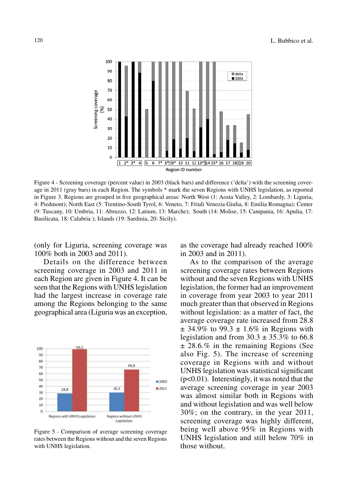

Figure 4 - Screening coverage (percent value) in 2003 (black bars) and difference ('delta') with the screening coverage in 2011 (gray bars) in each Region. The symbols \* mark the seven Regions with UNHS legislation, as reported in Figure 3. Regions are grouped in five geographical areas: North West (1: Aosta Valley, 2: Lombardy, 3: Liguria, 4: Piedmont); North East (5: Trentino-South Tyrol, 6: Veneto, 7: Friuli Venezia Giulia, 8: Emilia Romagna); Center (9: Tuscany, 10: Umbria, 11: Abruzzo, 12: Latium, 13: Marche); South (14: Molise, 15: Campania, 16: Apulia, 17: Basilicata, 18: Calabria ); Islands (19: Sardinia, 20: Sicily).

(only for Liguria, screening coverage was 100% both in 2003 and 2011).

Details on the difference between screening coverage in 2003 and 2011 in each Region are given in Figure 4. It can be seen that the Regions with UNHS legislation had the largest increase in coverage rate among the Regions belonging to the same geographical area (Liguria was an exception,



Figure 5 - Comparison of average screening coverage rates between the Regions without and the seven Regions with UNHS legislation.

as the coverage had already reached 100% in 2003 and in 2011).

As to the comparison of the average screening coverage rates between Regions without and the seven Regions with UNHS legislation, the former had an improvement in coverage from year 2003 to year 2011 much greater than that observed in Regions without legislation: as a matter of fact, the average coverage rate increased from 28.8  $\pm$  34.9% to 99.3  $\pm$  1.6% in Regions with legislation and from  $30.3 \pm 35.3\%$  to 66.8 ± 28.6.% in the remaining Regions (See also Fig. 5). The increase of screening coverage in Regions with and without UNHS legislation was statistical significant  $(p<0.01)$ . Interestingly, it was noted that the average screening coverage in year 2003 was almost similar both in Regions with and without legislation and was well below 30%; on the contrary, in the year 2011, screening coverage was highly different, being well above 95% in Regions with UNHS legislation and still below 70% in those without.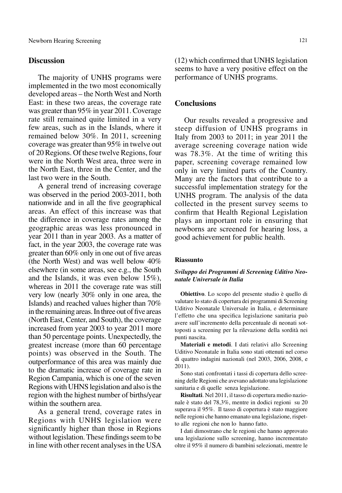# **Discussion**

The majority of UNHS programs were implemented in the two most economically developed areas – the North West and North East: in these two areas, the coverage rate was greater than 95% in year 2011. Coverage rate still remained quite limited in a very few areas, such as in the Islands, where it remained below 30%. In 2011, screening coverage was greater than 95% in twelve out of 20 Regions. Of these twelve Regions, four were in the North West area, three were in the North East, three in the Center, and the last two were in the South.

A general trend of increasing coverage was observed in the period 2003-2011, both nationwide and in all the five geographical areas. An effect of this increase was that the difference in coverage rates among the geographic areas was less pronounced in year 2011 than in year 2003. As a matter of fact, in the year 2003, the coverage rate was greater than 60% only in one out of five areas (the North West) and was well below 40% elsewhere (in some areas, see e.g., the South and the Islands, it was even below 15%), whereas in 2011 the coverage rate was still very low (nearly 30% only in one area, the Islands) and reached values higher than 70% in the remaining areas. In three out of five areas (North East, Center, and South), the coverage increased from year 2003 to year 2011 more than 50 percentage points. Unexpectedly, the greatest increase (more than 60 percentage points) was observed in the South. The outperformance of this area was mainly due to the dramatic increase of coverage rate in Region Campania, which is one of the seven Regions with UHNS legislation and also is the region with the highest number of births/year within the southern area.

As a general trend, coverage rates in Regions with UNHS legislation were significantly higher than those in Regions without legislation. These findings seem to be in line with other recent analyses in the USA

(12) which confirmed that UNHS legislation seems to have a very positive effect on the performance of UNHS programs.

## **Conclusions**

Our results revealed a progressive and steep diffusion of UNHS programs in Italy from 2003 to 2011; in year 2011 the average screening coverage nation wide was 78.3%. At the time of writing this paper, screening coverage remained low only in very limited parts of the Country. Many are the factors that contribute to a successful implementation strategy for the UNHS program. The analysis of the data collected in the present survey seems to confirm that Health Regional Legislation plays an important role in ensuring that newborns are screened for hearing loss, a good achievement for public health.

## **Riassunto**

### *Sviluppo dei Programmi di Screening Uditivo Neonatale Universale in Italia*

**Obiettivo**. Lo scopo del presente studio è quello di valutare lo stato di copertura dei programmi di Screening Uditivo Neonatale Universale in Italia, e determinare l'effetto che una specifica legislazione sanitaria può avere sull'incremento della percentuale di neonati sottoposti a screening per la rilevazione della sordità nei punti nascita.

**Materiali e metodi**. I dati relativi allo Screening Uditivo Neonatale in Italia sono stati ottenuti nel corso di quattro indagini nazionali (nel 2003, 2006, 2008, e 2011).

Sono stati confrontati i tassi di copertura dello screening delle Regioni che avevano adottato una legislazione sanitaria e di quelle senza legislazione.

**Risultati**. Nel 2011, il tasso di copertura medio nazionale è stato del 78,3%, mentre in dodici regioni su 20 superava il 95%. Il tasso di copertura è stato maggiore nelle regioni che hanno emanato una legislazione, rispetto alle regioni che non lo hanno fatto.

I dati dimostrano che le regioni che hanno approvato una legislazione sullo screening, hanno incrementato oltre il 95% il numero di bambini selezionati, mentre le